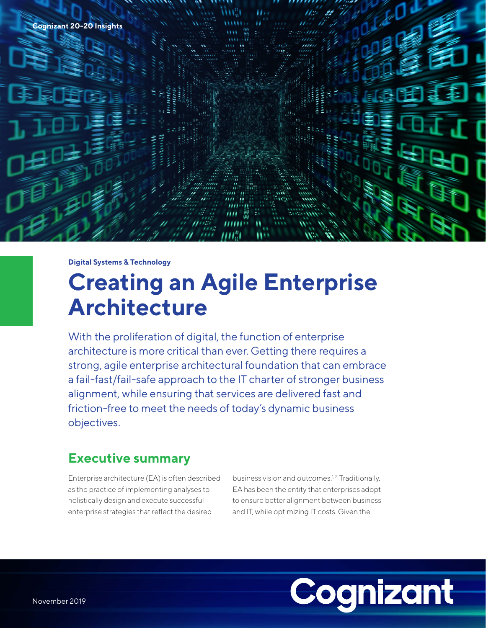

**Digital Systems & Technology**

# **Creating an Agile Enterprise Architecture**

With the proliferation of digital, the function of enterprise architecture is more critical than ever. Getting there requires a strong, agile enterprise architectural foundation that can embrace a fail-fast/fail-safe approach to the IT charter of stronger business alignment, while ensuring that services are delivered fast and friction-free to meet the needs of today's dynamic business objectives.

### **Executive summary**

Enterprise architecture (EA) is often described as the practice of implementing analyses to holistically design and execute successful enterprise strategies that reflect the desired

business vision and outcomes.<sup>1,2</sup> Traditionally, EA has been the entity that enterprises adopt to ensure better alignment between business and IT, while optimizing IT costs. Given the

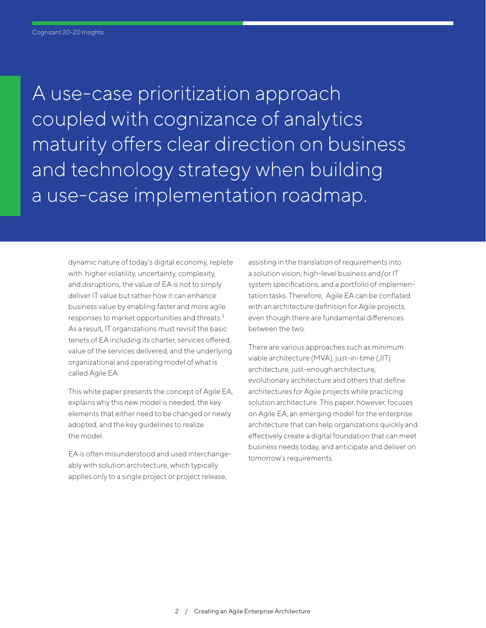A use-case prioritization approach coupled with cognizance of analytics maturity offers clear direction on business and technology strategy when building a use-case implementation roadmap.

dynamic nature of today's digital economy, replete with higher volatility, uncertainty, complexity, and disruptions, the value of EA is not to simply deliver IT value but rather how it can enhance business value by enabling faster and more agile responses to market opportunities and threats.3 As a result, IT organizations must revisit the basic tenets of EA including its charter, services offered, value of the services delivered, and the underlying organizational and operating model of what is called Agile EA.

This white paper presents the concept of Agile EA, explains why this new model is needed, the key elements that either need to be changed or newly adopted, and the key guidelines to realize the model.

EA is often misunderstood and used interchangeably with solution architecture, which typically applies only to a single project or project release,

assisting in the translation of requirements into a solution vision, high-level business and/or IT system specifications, and a portfolio of implementation tasks. Therefore, Agile EA can be conflated with an architecture definition for Agile projects, even though there are fundamental differences between the two.

There are various approaches such as minimum viable architecture (MVA), just-in-time (JIT) architecture, just-enough architecture, evolutionary architecture and others that define architectures for Agile projects while practicing solution architecture. This paper, however, focuses on Agile EA, an emerging model for the enterprise architecture that can help organizations quickly and effectively create a digital foundation that can meet business needs today, and anticipate and deliver on tomorrow's requirements.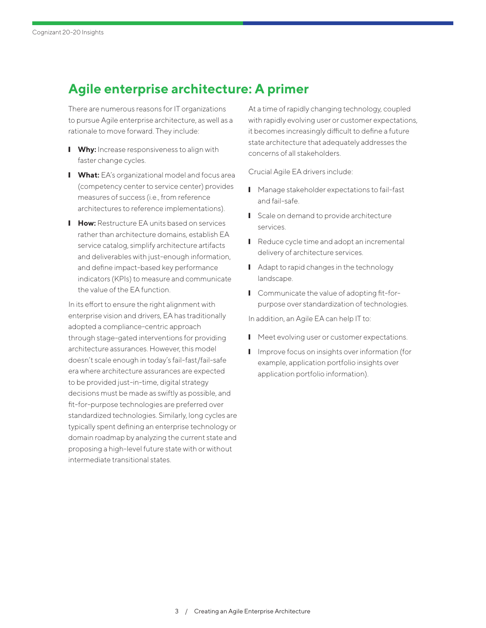## **Agile enterprise architecture: A primer**

There are numerous reasons for IT organizations to pursue Agile enterprise architecture, as well as a rationale to move forward. They include:

- **I** Why: Increase responsiveness to align with faster change cycles.
- **I What:** EA's organizational model and focus area (competency center to service center) provides measures of success (i.e., from reference architectures to reference implementations).
- **How:** Restructure EA units based on services rather than architecture domains, establish EA service catalog, simplify architecture artifacts and deliverables with just-enough information, and define impact-based key performance indicators (KPIs) to measure and communicate the value of the EA function.

In its effort to ensure the right alignment with enterprise vision and drivers, EA has traditionally adopted a compliance-centric approach through stage-gated interventions for providing architecture assurances. However, this model doesn't scale enough in today's fail-fast/fail-safe era where architecture assurances are expected to be provided just-in-time, digital strategy decisions must be made as swiftly as possible, and fit-for-purpose technologies are preferred over standardized technologies. Similarly, long cycles are typically spent defining an enterprise technology or domain roadmap by analyzing the current state and proposing a high-level future state with or without intermediate transitional states.

At a time of rapidly changing technology, coupled with rapidly evolving user or customer expectations, it becomes increasingly difficult to define a future state architecture that adequately addresses the concerns of all stakeholders.

Crucial Agile EA drivers include:

- Manage stakeholder expectations to fail-fast and fail-safe.
- Scale on demand to provide architecture services.
- Reduce cycle time and adopt an incremental delivery of architecture services.
- Adapt to rapid changes in the technology landscape.
- Communicate the value of adopting fit-forpurpose over standardization of technologies.

In addition, an Agile EA can help IT to:

- Meet evolving user or customer expectations.
- Improve focus on insights over information (for example, application portfolio insights over application portfolio information).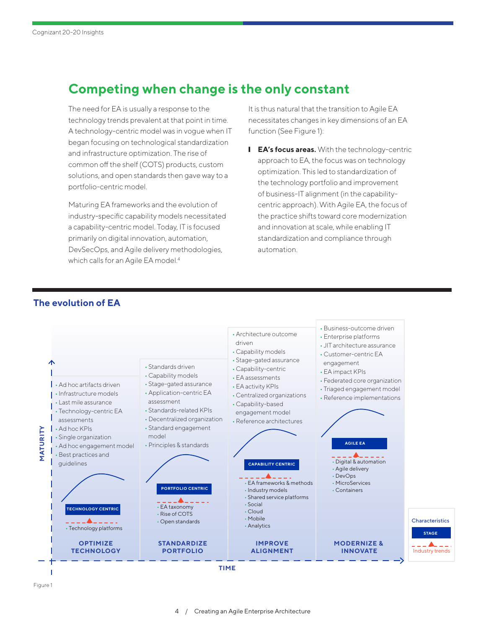### **Competing when change is the only constant**

The need for EA is usually a response to the technology trends prevalent at that point in time. A technology-centric model was in vogue when IT began focusing on technological standardization and infrastructure optimization. The rise of common off the shelf (COTS) products, custom solutions, and open standards then gave way to a portfolio-centric model.

Maturing EA frameworks and the evolution of industry-specific capability models necessitated a capability-centric model. Today, IT is focused primarily on digital innovation, automation, DevSecOps, and Agile delivery methodologies, which calls for an Agile EA model.<sup>4</sup>

It is thus natural that the transition to Agile EA necessitates changes in key dimensions of an EA function (See Figure 1):

**I** EA's focus areas. With the technology-centric approach to EA, the focus was on technology optimization. This led to standardization of the technology portfolio and improvement of business-IT alignment (in the capabilitycentric approach). With Agile EA, the focus of the practice shifts toward core modernization and innovation at scale, while enabling IT standardization and compliance through automation.



#### **The evolution of EA**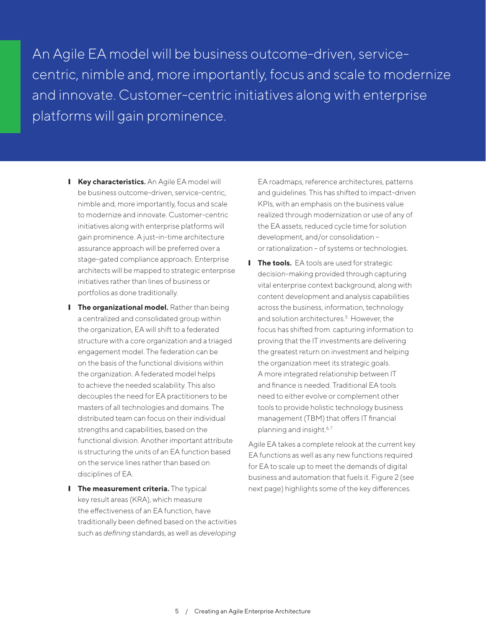An Agile EA model will be business outcome-driven, servicecentric, nimble and, more importantly, focus and scale to modernize and innovate. Customer-centric initiatives along with enterprise platforms will gain prominence.

- **I** Key characteristics. An Agile EA model will be business outcome-driven, service-centric, nimble and, more importantly, focus and scale to modernize and innovate. Customer-centric initiatives along with enterprise platforms will gain prominence. A just-in-time architecture assurance approach will be preferred over a stage-gated compliance approach. Enterprise architects will be mapped to strategic enterprise initiatives rather than lines of business or portfolios as done traditionally.
- **I** The organizational model. Rather than being a centralized and consolidated group within the organization, EA will shift to a federated structure with a core organization and a triaged engagement model. The federation can be on the basis of the functional divisions within the organization. A federated model helps to achieve the needed scalability. This also decouples the need for EA practitioners to be masters of all technologies and domains. The distributed team can focus on their individual strengths and capabilities, based on the functional division. Another important attribute is structuring the units of an EA function based on the service lines rather than based on disciplines of EA.
- **I** The measurement criteria. The typical key result areas (KRA), which measure the effectiveness of an EA function, have traditionally been defined based on the activities such as *defining* standards, as well as *developing*

EA roadmaps, reference architectures, patterns and guidelines. This has shifted to impact-driven KPIs, with an emphasis on the business value realized through modernization or use of any of the EA assets, reduced cycle time for solution development, and/or consolidation or rationalization - of systems or technologies.

**I** The tools. EA tools are used for strategic decision-making provided through capturing vital enterprise context background, along with content development and analysis capabilities across the business, information, technology and solution architectures.<sup>5</sup> However, the focus has shifted from capturing information to proving that the IT investments are delivering the greatest return on investment and helping the organization meet its strategic goals. A more integrated relationship between IT and finance is needed. Traditional EA tools need to either evolve or complement other tools to provide holistic technology business management (TBM) that offers IT financial planning and insight.<sup>6,7</sup>

Agile EA takes a complete relook at the current key EA functions as well as any new functions required for EA to scale up to meet the demands of digital business and automation that fuels it. Figure 2 (see next page) highlights some of the key differences.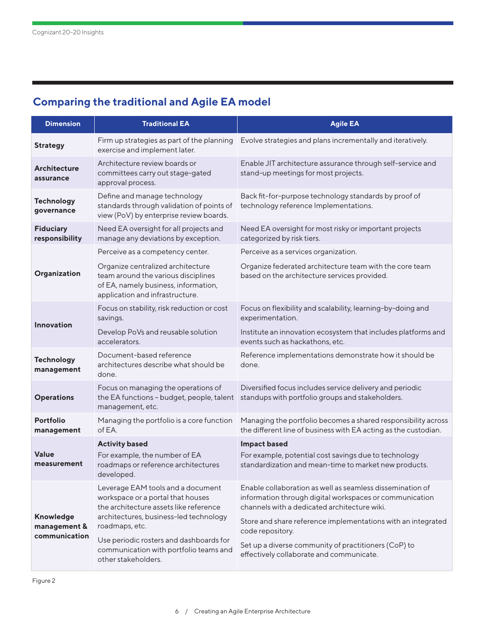### **Comparing the traditional and Agile EA model**

| <b>Dimension</b>                           | <b>Traditional EA</b>                                                                                                                                                        | <b>Agile EA</b>                                                                                                                                                                                                                      |
|--------------------------------------------|------------------------------------------------------------------------------------------------------------------------------------------------------------------------------|--------------------------------------------------------------------------------------------------------------------------------------------------------------------------------------------------------------------------------------|
| <b>Strategy</b>                            | Firm up strategies as part of the planning<br>exercise and implement later.                                                                                                  | Evolve strategies and plans incrementally and iteratively.                                                                                                                                                                           |
| <b>Architecture</b><br>assurance           | Architecture review boards or<br>committees carry out stage-gated<br>approval process.                                                                                       | Enable JIT architecture assurance through self-service and<br>stand-up meetings for most projects.                                                                                                                                   |
| <b>Technology</b><br>governance            | Define and manage technology<br>standards through validation of points of<br>view (PoV) by enterprise review boards.                                                         | Back fit-for-purpose technology standards by proof of<br>technology reference Implementations.                                                                                                                                       |
| <b>Fiduciary</b><br>responsibility         | Need EA oversight for all projects and<br>manage any deviations by exception.                                                                                                | Need EA oversight for most risky or important projects<br>categorized by risk tiers.                                                                                                                                                 |
| Organization                               | Perceive as a competency center.                                                                                                                                             | Perceive as a services organization.                                                                                                                                                                                                 |
|                                            | Organize centralized architecture<br>team around the various disciplines<br>of EA, namely business, information,<br>application and infrastructure.                          | Organize federated architecture team with the core team<br>based on the architecture services provided.                                                                                                                              |
| <b>Innovation</b>                          | Focus on stability, risk reduction or cost<br>savings.                                                                                                                       | Focus on flexibility and scalability, learning-by-doing and<br>experimentation.                                                                                                                                                      |
|                                            | Develop PoVs and reusable solution<br>accelerators.                                                                                                                          | Institute an innovation ecosystem that includes platforms and<br>events such as hackathons, etc.                                                                                                                                     |
| <b>Technology</b><br>management            | Document-based reference<br>architectures describe what should be<br>done.                                                                                                   | Reference implementations demonstrate how it should be<br>done.                                                                                                                                                                      |
| <b>Operations</b>                          | Focus on managing the operations of<br>the EA functions - budget, people, talent<br>management, etc.                                                                         | Diversified focus includes service delivery and periodic<br>standups with portfolio groups and stakeholders.                                                                                                                         |
| Portfolio<br>management                    | Managing the portfolio is a core function<br>of EA.                                                                                                                          | Managing the portfolio becomes a shared responsibility across<br>the different line of business with EA acting as the custodian.                                                                                                     |
| Value<br>measurement                       | <b>Activity based</b><br>For example, the number of EA<br>roadmaps or reference architectures<br>developed.                                                                  | <b>Impact based</b><br>For example, potential cost savings due to technology<br>standardization and mean-time to market new products.                                                                                                |
| Knowledge<br>management &<br>communication | Leverage EAM tools and a document<br>workspace or a portal that houses<br>the architecture assets like reference<br>architectures, business-led technology<br>roadmaps, etc. | Enable collaboration as well as seamless dissemination of<br>information through digital workspaces or communication<br>channels with a dedicated architecture wiki.<br>Store and share reference implementations with an integrated |
|                                            | Use periodic rosters and dashboards for<br>communication with portfolio teams and<br>other stakeholders.                                                                     | code repository.<br>Set up a diverse community of practitioners (CoP) to<br>effectively collaborate and communicate.                                                                                                                 |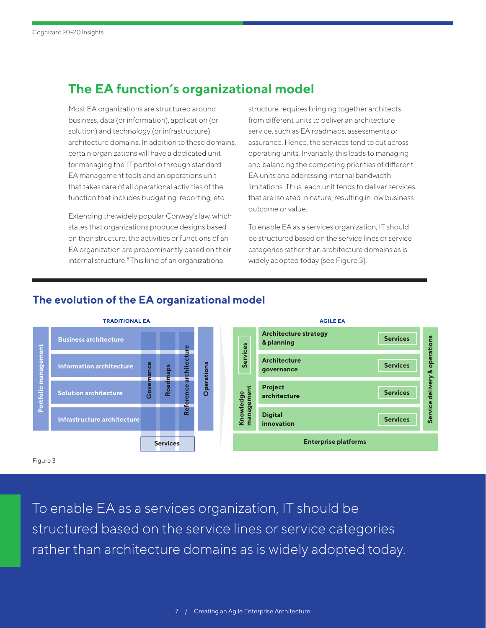## **The EA function's organizational model**

Most EA organizations are structured around business, data (or information), application (or solution) and technology (or infrastructure) architecture domains. In addition to these domains, certain organizations will have a dedicated unit for managing the IT portfolio through standard EA management tools and an operations unit that takes care of all operational activities of the function that includes budgeting, reporting, etc.

Extending the widely popular Conway's law, which states that organizations produce designs based on their structure, the activities or functions of an EA organization are predominantly based on their internal structure.8 This kind of an organizational

structure requires bringing together architects from different units to deliver an architecture service, such as EA roadmaps, assessments or assurance. Hence, the services tend to cut across operating units. Invariably, this leads to managing and balancing the competing priorities of different EA units and addressing internal bandwidth limitations. Thus, each unit tends to deliver services that are isolated in nature, resulting in low business outcome or value.

To enable EA as a services organization, IT should be structured based on the service lines or service categories rather than architecture domains as is widely adopted today (see Figure 3).



#### **The evolution of the EA organizational model**

To enable EA as a services organization, IT should be structured based on the service lines or service categories rather than architecture domains as is widely adopted today.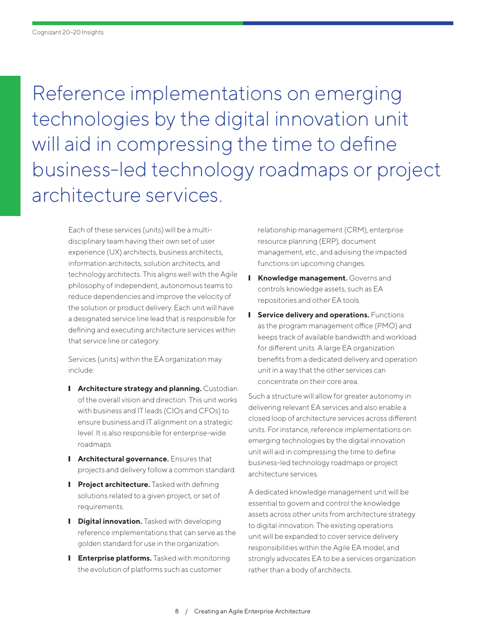Reference implementations on emerging technologies by the digital innovation unit will aid in compressing the time to define business-led technology roadmaps or project architecture services.

Each of these services (units) will be a multidisciplinary team having their own set of user experience (UX) architects, business architects, information architects, solution architects, and technology architects. This aligns well with the Agile philosophy of independent, autonomous teams to reduce dependencies and improve the velocity of the solution or product delivery. Each unit will have a designated service line lead that is responsible for defining and executing architecture services within that service line or category.

Services (units) within the EA organization may include:

- **I** Architecture strategy and planning. Custodian of the overall vision and direction. This unit works with business and IT leads (CIOs and CFOs) to ensure business and IT alignment on a strategic level. It is also responsible for enterprise-wide roadmaps.
- **I** Architectural governance. Ensures that projects and delivery follow a common standard.
- **I** Project architecture. Tasked with defining solutions related to a given project, or set of requirements.
- **I** Digital innovation. Tasked with developing reference implementations that can serve as the golden standard for use in the organization.
- **I** Enterprise platforms. Tasked with monitoring the evolution of platforms such as customer

relationship management (CRM), enterprise resource planning (ERP), document management, etc., and advising the impacted functions on upcoming changes.

- **I** Knowledge management. Governs and controls knowledge assets, such as EA repositories and other EA tools.
- **I** Service delivery and operations. Functions as the program management office (PMO) and keeps track of available bandwidth and workload for different units. A large EA organization benefits from a dedicated delivery and operation unit in a way that the other services can concentrate on their core area.

Such a structure will allow for greater autonomy in delivering relevant EA services and also enable a closed loop of architecture services across different units. For instance, reference implementations on emerging technologies by the digital innovation unit will aid in compressing the time to define business-led technology roadmaps or project architecture services.

A dedicated knowledge management unit will be essential to govern and control the knowledge assets across other units from architecture strategy to digital innovation. The existing operations unit will be expanded to cover service delivery responsibilities within the Agile EA model, and strongly advocates EA to be a services organization rather than a body of architects.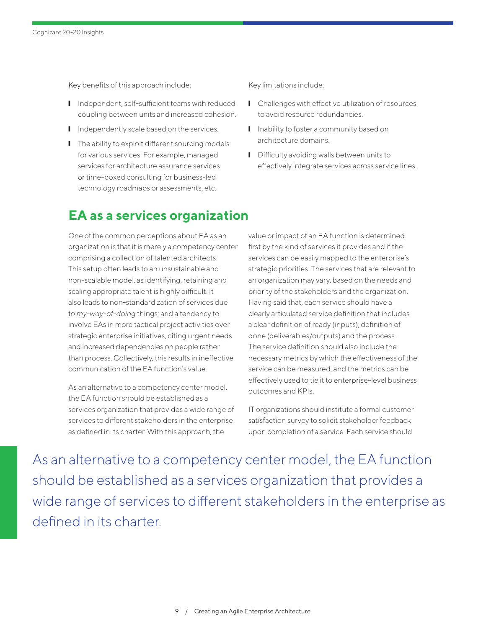Key benefits of this approach include:

- Independent, self-sufficient teams with reduced coupling between units and increased cohesion.
- I Independently scale based on the services.
- The ability to exploit different sourcing models for various services. For example, managed services for architecture assurance services or time-boxed consulting for business-led technology roadmaps or assessments, etc.

Key limitations include:

- Challenges with effective utilization of resources to avoid resource redundancies.
- Inability to foster a community based on architecture domains.
- Difficulty avoiding walls between units to effectively integrate services across service lines.

### **EA as a services organization**

One of the common perceptions about EA as an organization is that it is merely a competency center comprising a collection of talented architects. This setup often leads to an unsustainable and non-scalable model, as identifying, retaining and scaling appropriate talent is highly difficult. It also leads to non-standardization of services due to *my-way-of-doing* things; and a tendency to involve EAs in more tactical project activities over strategic enterprise initiatives, citing urgent needs and increased dependencies on people rather than process. Collectively, this results in ineffective communication of the EA function's value.

As an alternative to a competency center model, the EA function should be established as a services organization that provides a wide range of services to different stakeholders in the enterprise as defined in its charter. With this approach, the

value or impact of an EA function is determined first by the kind of services it provides and if the services can be easily mapped to the enterprise's strategic priorities. The services that are relevant to an organization may vary, based on the needs and priority of the stakeholders and the organization. Having said that, each service should have a clearly articulated service definition that includes a clear definition of ready (inputs), definition of done (deliverables/outputs) and the process. The service definition should also include the necessary metrics by which the effectiveness of the service can be measured, and the metrics can be effectively used to tie it to enterprise-level business outcomes and KPIs.

IT organizations should institute a formal customer satisfaction survey to solicit stakeholder feedback upon completion of a service. Each service should

As an alternative to a competency center model, the EA function should be established as a services organization that provides a wide range of services to different stakeholders in the enterprise as defined in its charter.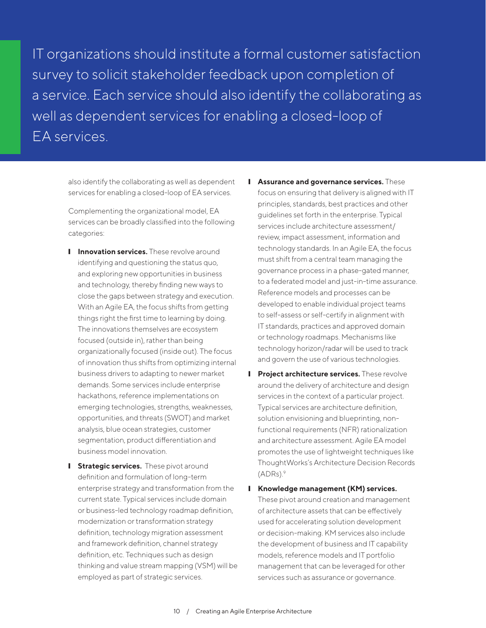IT organizations should institute a formal customer satisfaction survey to solicit stakeholder feedback upon completion of a service. Each service should also identify the collaborating as well as dependent services for enabling a closed-loop of EA services.

also identify the collaborating as well as dependent services for enabling a closed-loop of EA services.

Complementing the organizational model, EA services can be broadly classified into the following categories:

- **I** Innovation services. These revolve around identifying and questioning the status quo, and exploring new opportunities in business and technology, thereby finding new ways to close the gaps between strategy and execution. With an Agile EA, the focus shifts from getting things right the first time to learning by doing. The innovations themselves are ecosystem focused (outside in), rather than being organizationally focused (inside out). The focus of innovation thus shifts from optimizing internal business drivers to adapting to newer market demands. Some services include enterprise hackathons, reference implementations on emerging technologies, strengths, weaknesses, opportunities, and threats (SWOT) and market analysis, blue ocean strategies, customer segmentation, product differentiation and business model innovation.
- **I** Strategic services. These pivot around definition and formulation of long-term enterprise strategy and transformation from the current state. Typical services include domain or business-led technology roadmap definition, modernization or transformation strategy definition, technology migration assessment and framework definition, channel strategy definition, etc. Techniques such as design thinking and value stream mapping (VSM) will be employed as part of strategic services.
- ❙ **Assurance and governance services.** These focus on ensuring that delivery is aligned with IT principles, standards, best practices and other guidelines set forth in the enterprise. Typical services include architecture assessment/ review, impact assessment, information and technology standards. In an Agile EA, the focus must shift from a central team managing the governance process in a phase-gated manner, to a federated model and just-in-time assurance. Reference models and processes can be developed to enable individual project teams to self-assess or self-certify in alignment with IT standards, practices and approved domain or technology roadmaps. Mechanisms like technology horizon/radar will be used to track and govern the use of various technologies.
- **I** Project architecture services. These revolve around the delivery of architecture and design services in the context of a particular project. Typical services are architecture definition, solution envisioning and blueprinting, nonfunctional requirements (NFR) rationalization and architecture assessment. Agile EA model promotes the use of lightweight techniques like ThoughtWorks's Architecture Decision Records  $(ADRs).<sup>9</sup>$
- ❙ **Knowledge management (KM) services.**  These pivot around creation and management of architecture assets that can be effectively used for accelerating solution development or decision-making. KM services also include the development of business and IT capability models, reference models and IT portfolio management that can be leveraged for other services such as assurance or governance.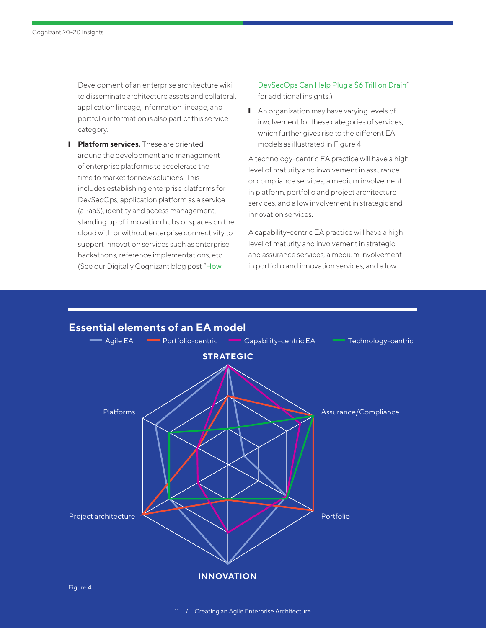Development of an enterprise architecture wiki to disseminate architecture assets and collateral, application lineage, information lineage, and portfolio information is also part of this service category.

**I** Platform services. These are oriented around the development and management of enterprise platforms to accelerate the time to market for new solutions. This includes establishing enterprise platforms for DevSecOps, application platform as a service (aPaaS), identity and access management, standing up of innovation hubs or spaces on the cloud with or without enterprise connectivity to support innovation services such as enterprise hackathons, reference implementations, etc. (See our Digitally Cognizant blog post "[How](https://digitally.cognizant.com/how-devsecops-can-help-plug-a-6-trillion-drain-codex4797/) 

[DevSecOps Can Help Plug a \\$6 Trillion Drain](https://digitally.cognizant.com/how-devsecops-can-help-plug-a-6-trillion-drain-codex4797/)" for additional insights.)

■ An organization may have varying levels of involvement for these categories of services, which further gives rise to the different EA models as illustrated in Figure 4.

A technology-centric EA practice will have a high level of maturity and involvement in assurance or compliance services, a medium involvement in platform, portfolio and project architecture services, and a low involvement in strategic and innovation services.

A capability-centric EA practice will have a high level of maturity and involvement in strategic and assurance services, a medium involvement in portfolio and innovation services, and a low

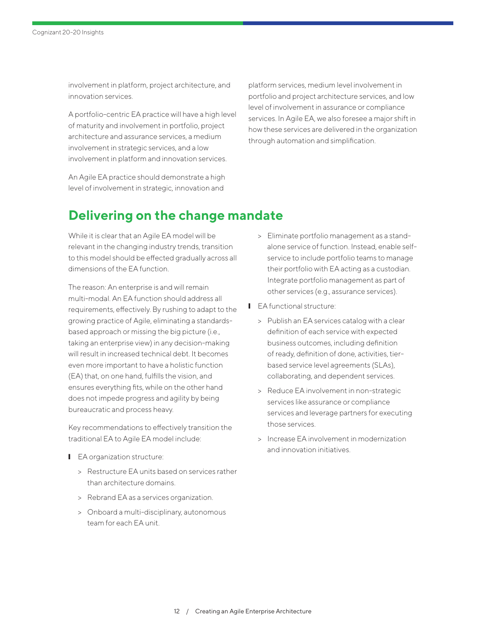involvement in platform, project architecture, and innovation services.

A portfolio-centric EA practice will have a high level of maturity and involvement in portfolio, project architecture and assurance services, a medium involvement in strategic services, and a low involvement in platform and innovation services.

An Agile EA practice should demonstrate a high level of involvement in strategic, innovation and

platform services, medium level involvement in portfolio and project architecture services, and low level of involvement in assurance or compliance services. In Agile EA, we also foresee a major shift in how these services are delivered in the organization through automation and simplification.

### **Delivering on the change mandate**

While it is clear that an Agile EA model will be relevant in the changing industry trends, transition to this model should be effected gradually across all dimensions of the EA function.

The reason: An enterprise is and will remain multi-modal. An EA function should address all requirements, effectively. By rushing to adapt to the growing practice of Agile, eliminating a standardsbased approach or missing the big picture (i.e., taking an enterprise view) in any decision-making will result in increased technical debt. It becomes even more important to have a holistic function (EA) that, on one hand, fulfills the vision, and ensures everything fits, while on the other hand does not impede progress and agility by being bureaucratic and process heavy.

Key recommendations to effectively transition the traditional EA to Agile EA model include:

- EA organization structure:
	- > Restructure EA units based on services rather than architecture domains.
	- > Rebrand EA as a services organization.
	- > Onboard a multi-disciplinary, autonomous team for each EA unit.
- > Eliminate portfolio management as a standalone service of function. Instead, enable selfservice to include portfolio teams to manage their portfolio with EA acting as a custodian. Integrate portfolio management as part of other services (e.g., assurance services).
- EA functional structure:
	- > Publish an EA services catalog with a clear definition of each service with expected business outcomes, including definition of ready, definition of done, activities, tierbased service level agreements (SLAs), collaborating, and dependent services.
	- > Reduce EA involvement in non-strategic services like assurance or compliance services and leverage partners for executing those services.
	- > Increase EA involvement in modernization and innovation initiatives.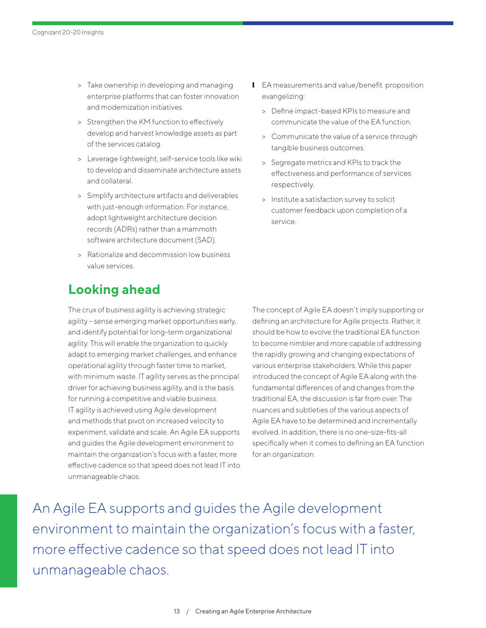- > Take ownership in developing and managing enterprise platforms that can foster innovation and modernization initiatives.
- > Strengthen the KM function to effectively develop and harvest knowledge assets as part of the services catalog.
- > Leverage lightweight, self-service tools like wiki to develop and disseminate architecture assets and collateral.
- > Simplify architecture artifacts and deliverables with just-enough information. For instance, adopt lightweight architecture decision records (ADRs) rather than a mammoth software architecture document (SAD).
- > Rationalize and decommission low business value services.

## **Looking ahead**

The crux of business agility is achieving strategic agility - sense emerging market opportunities early, and identify potential for long-term organizational agility. This will enable the organization to quickly adapt to emerging market challenges, and enhance operational agility through faster time to market, with minimum waste. IT agility serves as the principal driver for achieving business agility, and is the basis for running a competitive and viable business. IT agility is achieved using Agile development and methods that pivot on increased velocity to experiment, validate and scale. An Agile EA supports and guides the Agile development environment to maintain the organization's focus with a faster, more effective cadence so that speed does not lead IT into unmanageable chaos.

- **■** EA measurements and value/benefit proposition evangelizing:
	- > Define impact-based KPIs to measure and communicate the value of the EA function.
	- > Communicate the value of a service through tangible business outcomes.
	- > Segregate metrics and KPIs to track the effectiveness and performance of services respectively.
	- > Institute a satisfaction survey to solicit customer feedback upon completion of a service.

The concept of Agile EA doesn't imply supporting or defining an architecture for Agile projects. Rather, it should be how to evolve the traditional EA function to become nimbler and more capable of addressing the rapidly growing and changing expectations of various enterprise stakeholders. While this paper introduced the concept of Agile EA along with the fundamental differences of and changes from the traditional EA, the discussion is far from over. The nuances and subtleties of the various aspects of Agile EA have to be determined and incrementally evolved. In addition, there is no one-size-fits-all specifically when it comes to defining an EA function for an organization.

An Agile EA supports and guides the Agile development environment to maintain the organization's focus with a faster, more effective cadence so that speed does not lead IT into unmanageable chaos.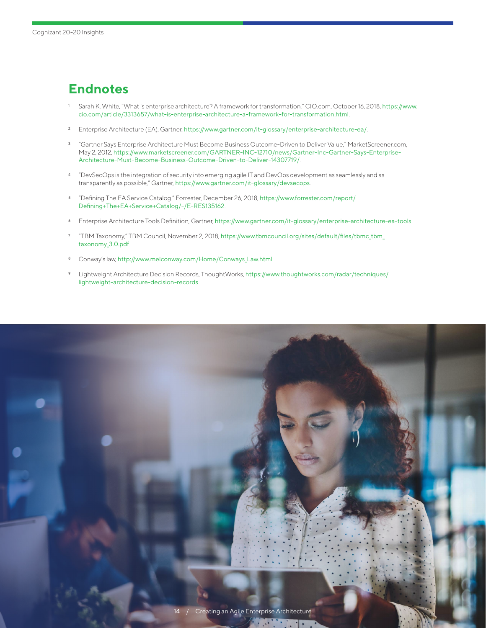# **Endnotes**

- <sup>1</sup> Sarah K. White, "What is enterprise architecture? A framework for transformation," CIO.com, October 16, 2018, [https://www.](https://www.cio.com/article/3313657/what-is-enterprise-architecture-a-framework-for-transformation.html) [cio.com/article/3313657/what-is-enterprise-architecture-a-framework-for-transformation.html](https://www.cio.com/article/3313657/what-is-enterprise-architecture-a-framework-for-transformation.html).
- <sup>2</sup> Enterprise Architecture (EA), Gartner, <https://www.gartner.com/it-glossary/enterprise-architecture-ea/>.
- <sup>3</sup> "Gartner Says Enterprise Architecture Must Become Business Outcome-Driven to Deliver Value," MarketScreener.com, May 2, 2012, [https://www.marketscreener.com/GARTNER-INC-12710/news/Gartner-Inc-Gartner-Says-Enterprise-](https://www.marketscreener.com/GARTNER-INC-12710/news/Gartner-Inc-Gartner-Says-Enterprise-Architecture-Must-Become-Business-Outcome-Driven-to-Deliver-14307719/)[Architecture-Must-Become-Business-Outcome-Driven-to-Deliver-14307719/](https://www.marketscreener.com/GARTNER-INC-12710/news/Gartner-Inc-Gartner-Says-Enterprise-Architecture-Must-Become-Business-Outcome-Driven-to-Deliver-14307719/)[.](https://www.marketscreener.com/GARTNER-INC-12710/news/Gartner-Inc-Gartner-Says-Enterprise-Architectu)
- <sup>4</sup> "DevSecOps is the integration of security into emerging agile IT and DevOps development as seamlessly and as transparently as possible," Gartner, <https://www.gartner.com/it-glossary/devsecops>.
- <sup>5</sup> "Defining The [EA](https://www.forrester.com/report/Defining+The+EA+Service+Catalog/-/E-RES135162) Service Catalog." Forrester, December 26, 2018, [https://www.forrester.com/report/](https://www.forrester.com/report/Defining+The+EA+Service+Catalog/-/E-RES135162) [Defining+The+EA+Service+Catalog/-/E-RES135162](https://www.forrester.com/report/Defining+The+EA+Service+Catalog/-/E-RES135162).
- <sup>6</sup> [Enterprise Architecture Tools Definition, Gartner,](http://www.gartner.com/it-glossary/enterprise-architecture-ea-tools) <https://www.gartner.com/it-glossary/enterprise-architecture-ea-tools>.
- <sup>7</sup> "TBM Taxonomy," TBM Council, November 2, 2018, [https://www.tbmcouncil.org/sites/default/files/tbmc\\_tbm\\_](https://www.tbmcouncil.org/sites/default/files/tbmc_tbm_taxonomy_3.0.pdf) [taxonomy\\_3.0.pdf](https://www.tbmcouncil.org/sites/default/files/tbmc_tbm_taxonomy_3.0.pdf).
- 8 Conway's law, [http://www.melconway.com/Home/Conways\\_Law.html](http://www.melconway.com/Home/Conways_Law.html).
- Lightweight Architecture Decision Records, ThoughtWorks, [https://www.thoughtworks.com/radar/techniques/](https://www.thoughtworks.com/radar/techniques/lightweight-architecture-decision-records) [lightweight-architecture-decision-records](https://www.thoughtworks.com/radar/techniques/lightweight-architecture-decision-records).

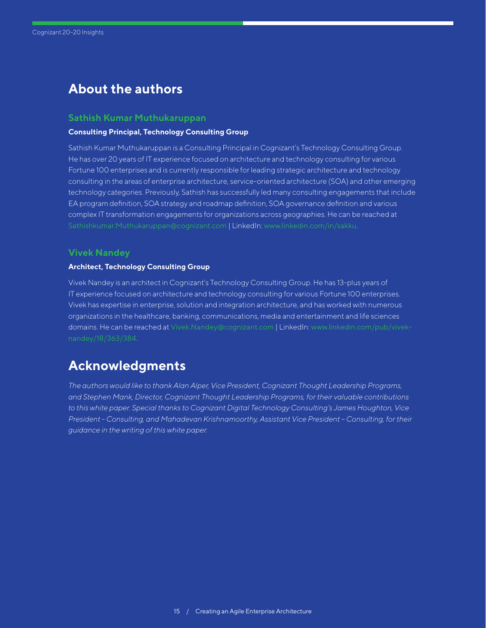### **About the authors**

#### **Sathish Kumar Muthukaruppan**

#### **Consulting Principal, Technology Consulting Group**

Sathish Kumar Muthukaruppan is a Consulting Principal in Cognizant's Technology Consulting Group. He has over 20 years of IT experience focused on architecture and technology consulting for various Fortune 100 enterprises and is currently responsible for leading strategic architecture and technology consulting in the areas of enterprise architecture, service-oriented architecture (SOA) and other emerging technology categories. Previously, Sathish has successfully led many consulting engagements that include EA program definition, SOA strategy and roadmap definition, SOA governance definition and various complex IT transformation engagements for organizations across geographies. He can be reached at [Sathishkumar.Muthukaruppan@cognizant.com](mailto:Sathishkumar.Muthukaruppan%40cognizant.com?subject=) | LinkedIn: [www.linkedin.com/in/sakku](http://www.linkedin.com/in/sakku).

#### **Vivek Nandey**

#### **Architect, Technology Consulting Group**

Vivek Nandey is an architect in Cognizant's Technology Consulting Group. He has 13-plus years of IT experience focused on architecture and technology consulting for various Fortune 100 enterprises. Vivek has expertise in enterprise, solution and integration architecture, and has worked with numerous organizations in the healthcare, banking, communications, media and entertainment and life sciences domains. He can be reached at [Vivek.Nandey@cognizant.com](mailto:Vivek.Nandey%40cognizant.com?subject=) | LinkedIn: [www.linkedin.com/pub/vivek-](https://www.linkedin.com/pub/vivek-nandey/18/363/384 )

#### **Acknowledgments**

*The authors would like to thank Alan Alper, Vice President, Cognizant Thought Leadership Programs, and Stephen Mank, Director, Cognizant Thought Leadership Programs, for their valuable contributions to this white paper. Special thanks to Cognizant Digital Technology Consulting's James Houghton, Vice President - Consulting, and Mahadevan Krishnamoorthy, Assistant Vice President – Consulting, for their guidance in the writing of this white paper.*